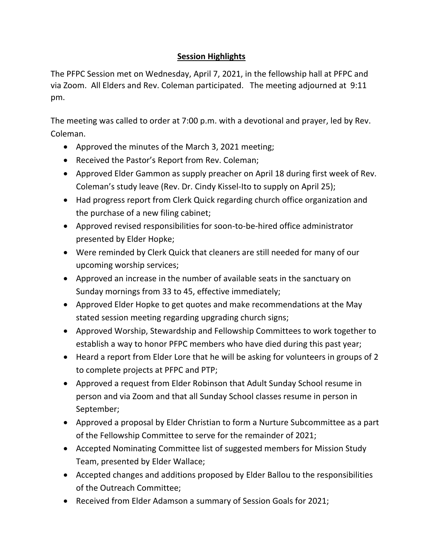## **Session Highlights**

The PFPC Session met on Wednesday, April 7, 2021, in the fellowship hall at PFPC and via Zoom. All Elders and Rev. Coleman participated. The meeting adjourned at 9:11 pm.

The meeting was called to order at 7:00 p.m. with a devotional and prayer, led by Rev. Coleman.

- Approved the minutes of the March 3, 2021 meeting;
- Received the Pastor's Report from Rev. Coleman;
- Approved Elder Gammon as supply preacher on April 18 during first week of Rev. Coleman's study leave (Rev. Dr. Cindy Kissel-Ito to supply on April 25);
- Had progress report from Clerk Quick regarding church office organization and the purchase of a new filing cabinet;
- Approved revised responsibilities for soon-to-be-hired office administrator presented by Elder Hopke;
- Were reminded by Clerk Quick that cleaners are still needed for many of our upcoming worship services;
- Approved an increase in the number of available seats in the sanctuary on Sunday mornings from 33 to 45, effective immediately;
- Approved Elder Hopke to get quotes and make recommendations at the May stated session meeting regarding upgrading church signs;
- Approved Worship, Stewardship and Fellowship Committees to work together to establish a way to honor PFPC members who have died during this past year;
- Heard a report from Elder Lore that he will be asking for volunteers in groups of 2 to complete projects at PFPC and PTP;
- Approved a request from Elder Robinson that Adult Sunday School resume in person and via Zoom and that all Sunday School classes resume in person in September;
- Approved a proposal by Elder Christian to form a Nurture Subcommittee as a part of the Fellowship Committee to serve for the remainder of 2021;
- Accepted Nominating Committee list of suggested members for Mission Study Team, presented by Elder Wallace;
- Accepted changes and additions proposed by Elder Ballou to the responsibilities of the Outreach Committee;
- Received from Elder Adamson a summary of Session Goals for 2021;